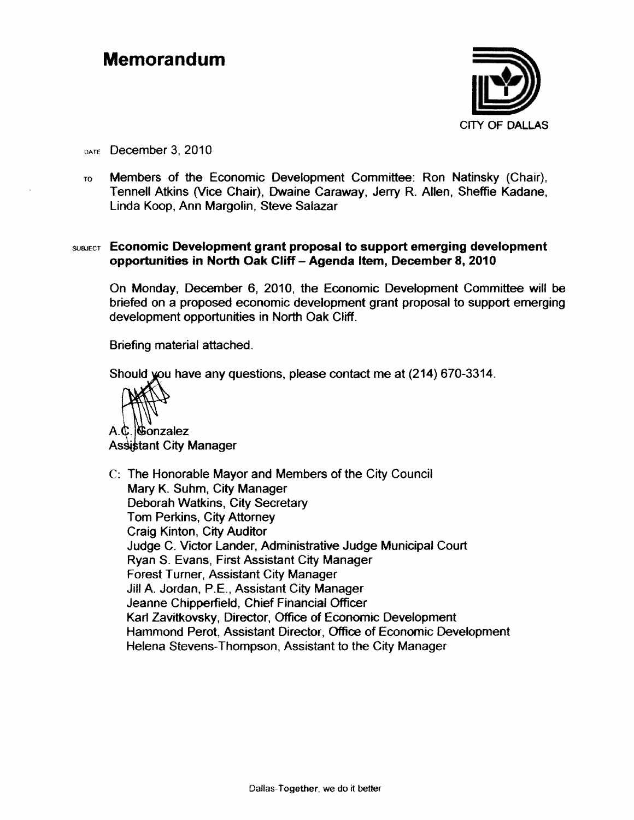#### **Memorandum**



DATE December 3, 2010

Members of the Economic Development Committee: Ron Natinsky (Chair), TO. Tennell Atkins (Vice Chair), Dwaine Caraway, Jerry R. Allen, Sheffie Kadane, Linda Koop, Ann Margolin, Steve Salazar

#### SUBJECT Economic Development grant proposal to support emerging development opportunities in North Oak Cliff - Agenda Item, December 8, 2010

On Monday, December 6, 2010, the Economic Development Committee will be briefed on a proposed economic development grant proposal to support emerging development opportunities in North Oak Cliff.

Briefing material attached.

Should you have any questions, please contact me at (214) 670-3314.

Gonzalez A.C **Assistant City Manager** 

C: The Honorable Mayor and Members of the City Council Mary K. Suhm, City Manager Deborah Watkins, City Secretary Tom Perkins, City Attorney Craig Kinton, City Auditor Judge C. Victor Lander, Administrative Judge Municipal Court Rvan S. Evans, First Assistant City Manager **Forest Turner, Assistant City Manager** Jill A. Jordan, P.E., Assistant City Manager Jeanne Chipperfield, Chief Financial Officer Karl Zavitkovsky, Director, Office of Economic Development Hammond Perot, Assistant Director, Office of Economic Development Helena Stevens-Thompson, Assistant to the City Manager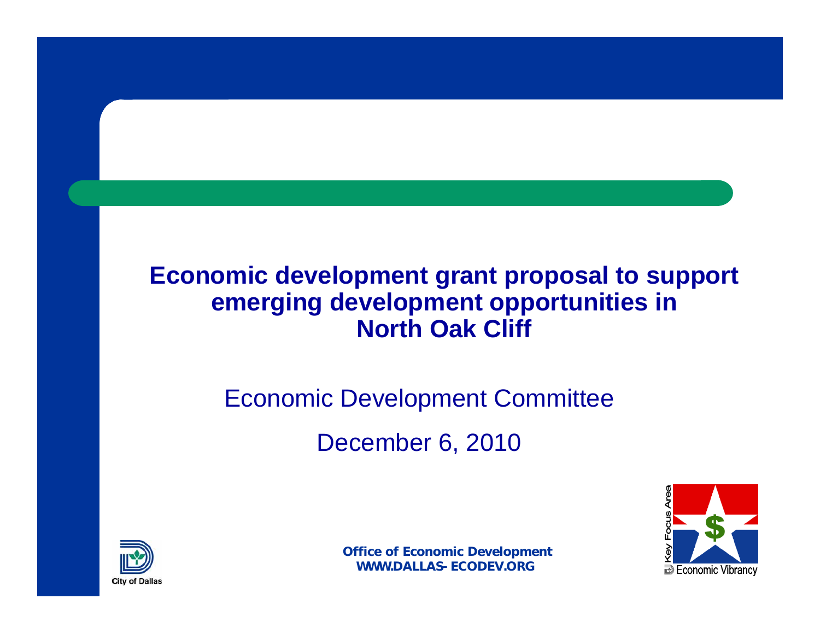#### **Economic development grant proposal to support emerging development opportunities in North Oak Cliff**

# Economic Development Committee

December 6, 2010



**B** Economic Vibrancy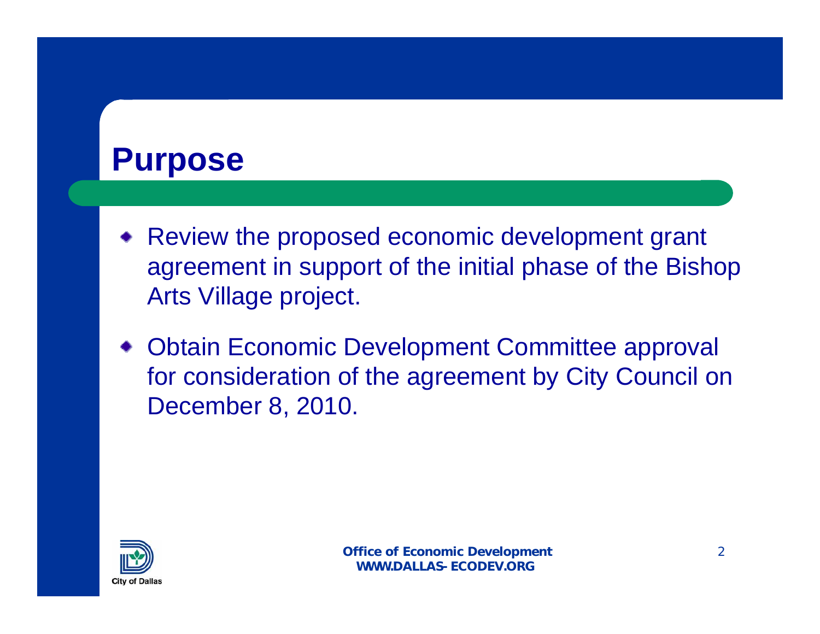#### **Purpose**

- Review the proposed economic development grant agreement in support of the initial phase of the Bishop Arts Village project.
- Obtain Economic Development Committee approval for consideration of the agreement by City Council on December 8, 2010.

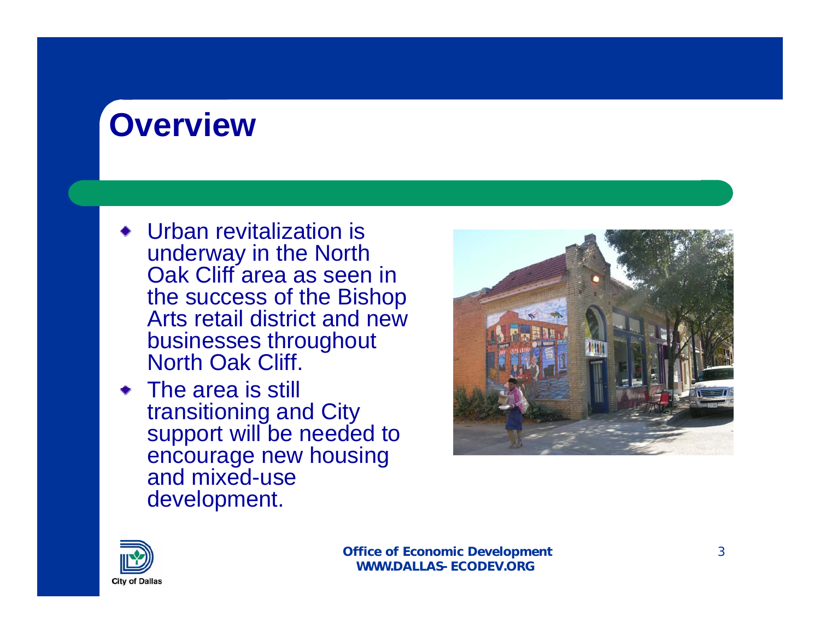# **Overview**

- Urban revitalization is underway in the North Oak Cliff area as seen in the success of the Bishop Arts retail district and new businesses throughout North Oak Cliff.
- The area is still transitioning and City support will be needed to encourage new housing and mixed-use development.



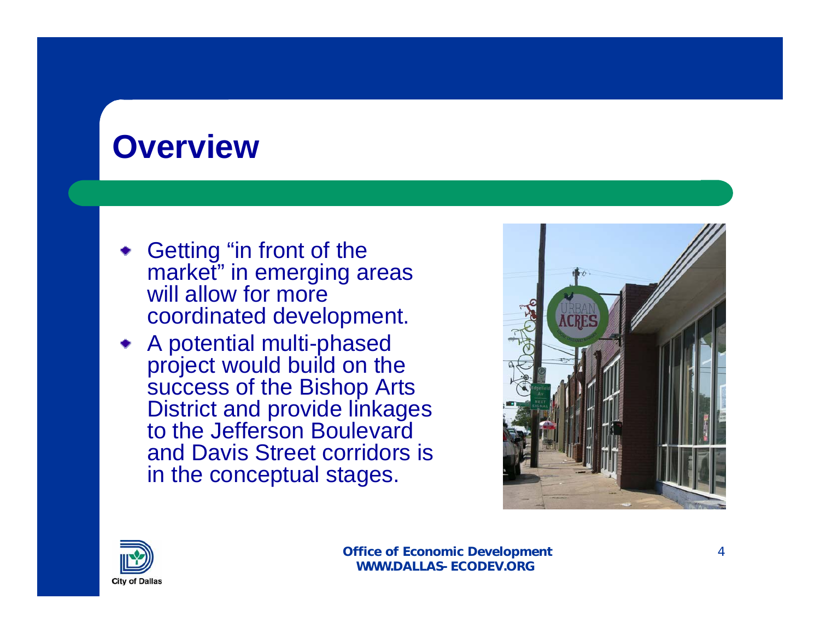#### **Overview**

- Getting "in front of the market" in emerging areas will allow for more coordinated development.
- A potential multi-phased project would build on the success of the Bishop Arts District and provide linkages to the Jefferson Boulevard and Davis Street corridors is in the conceptual stages.



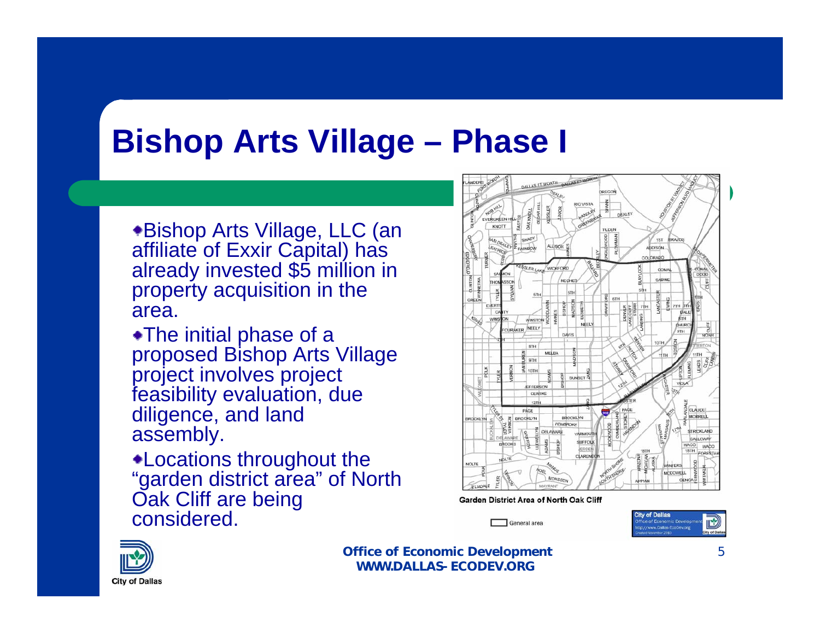### **Bishop Arts Village – Phase I**

\*Bishop Arts Village, LLC (an affiliate of Exxir Capital) has already invested \$5 million in property acquisition in the area.

The initial phase of a proposed Bishop Arts Village project involves project feasibility evaluation, due diligence, and land assembly.

Locations throughout the "garden district area" of North Oak Cliff are being considered.



**Garden District Area of North Oak Cliff** 





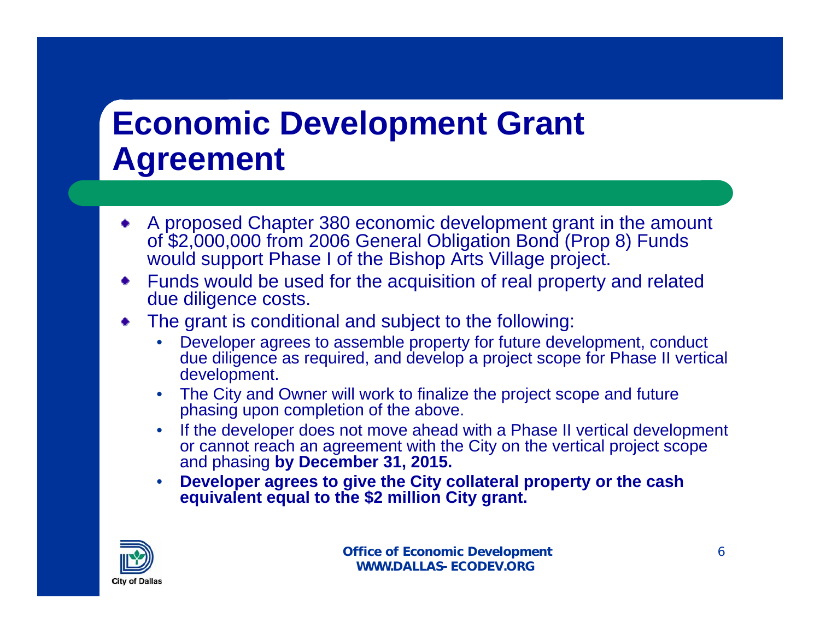## **Economic Development Grant Agreement**

- A proposed Chapter 380 economic development grant in the amount of \$2,000,000 from 2006 General Obligation Bond (Prop 8) Funds would support Phase I of the Bishop Arts Village project.
- Funds would be used for the acquisition of real property and related due diligence costs.
- The grant is conditional and subject to the following:
	- Developer agrees to assemble property for future development, conduct due diligence as required, and develop a project scope for Phase II vertical development.
	- The City and Owner will work to finalize the project scope and future phasing upon completion of the above.
	- If the developer does not move ahead with a Phase II vertical development or cannot reach an agreement with the City on the vertical project scope and phasing **by December 31, 2015.**
	- **Developer agrees to give the City collateral property or the cash equivalent equal to the \$2 million City grant.**

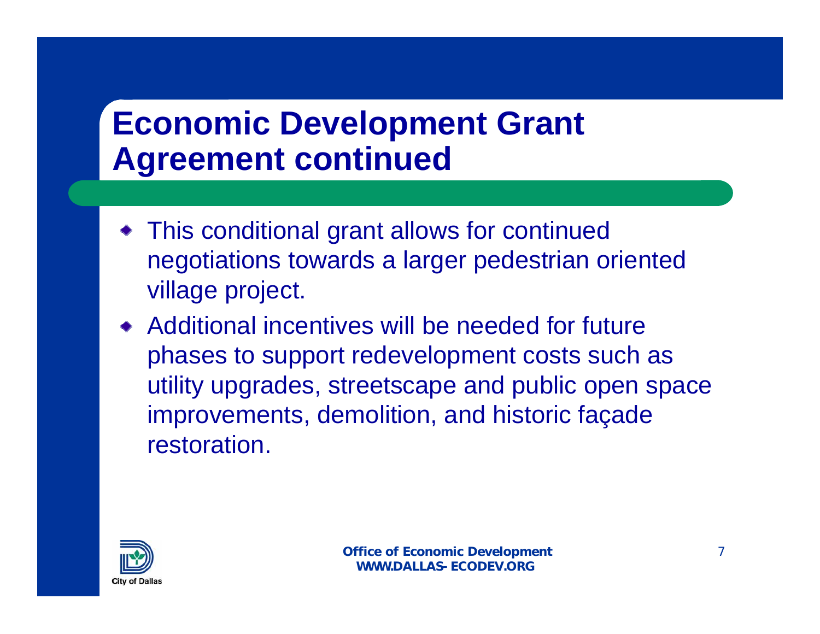### **Economic Development Grant Agreement continued**

- This conditional grant allows for continued negotiations towards a larger pedestrian oriented village project.
- Additional incentives will be needed for future phases to support redevelopment costs such as utility upgrades, streetscape and public open space improvements, demolition, and historic façade restoration.

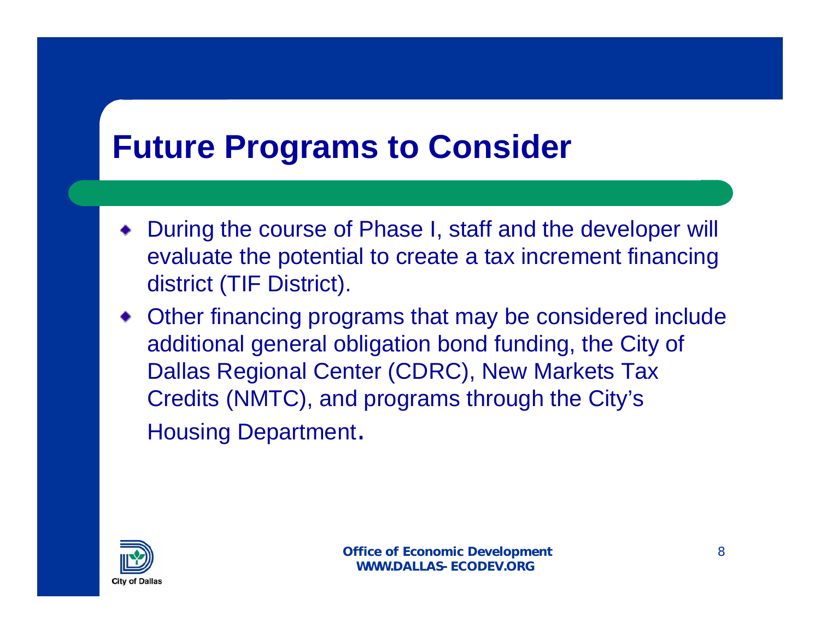#### **Future Programs to Consider**

- During the course of Phase I, staff and the developer will evaluate the potential to create a tax increment financing district (TIF District).
- Other financing programs that may be considered include additional general obligation bond funding, the City of Dallas Regional Center (CDRC), New Markets Tax Credits (NMTC), and programs through the City's Housing Department.

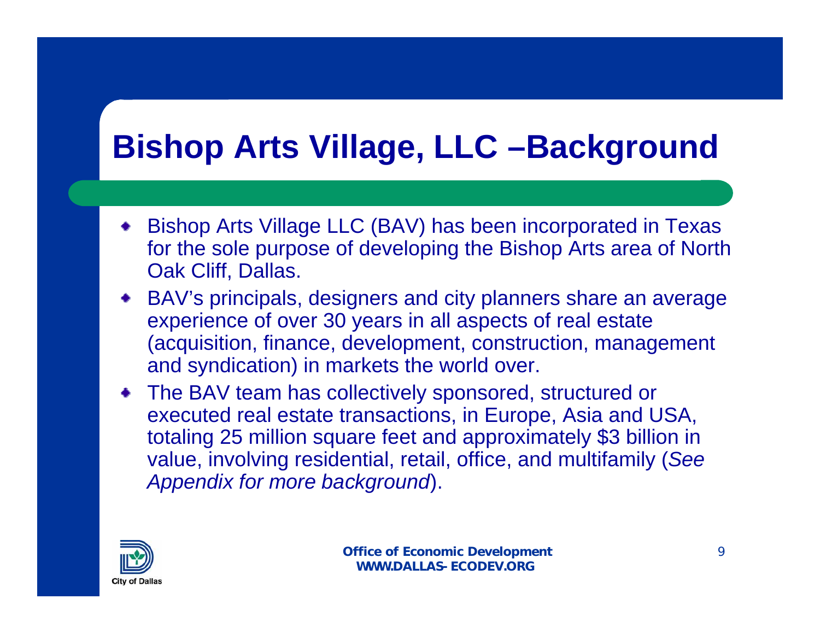# **Bishop Arts Village, LLC –Background**

- Bishop Arts Village LLC (BAV) has been incorporated in Texas for the sole purpose of developing the Bishop Arts area of North Oak Cliff, Dallas.
- BAV's principals, designers and city planners share an average experience of over 30 years in all aspects of real estate (acquisition, finance, development, construction, management and syndication) in markets the world over.
- The BAV team has collectively sponsored, structured or executed real estate transactions, in Europe, Asia and USA, totaling 25 million square feet and approximately \$3 billion in value, involving residential, retail, office, and multifamily (*See Appendix for more background*).

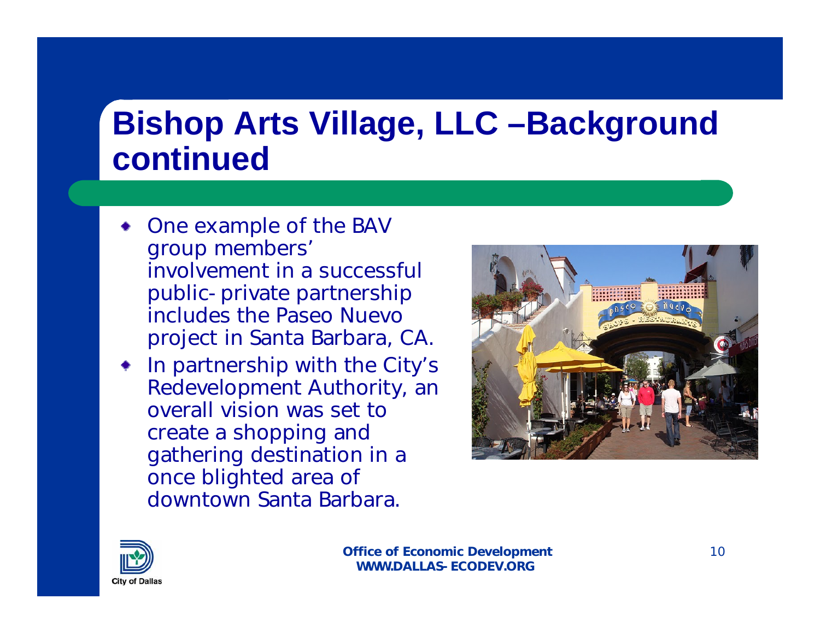### **Bishop Arts Village, LLC –Background continued**

- One example of the BAV group members' involvement in a successful public-private partnership includes the Paseo Nuevo project in Santa Barbara, CA.
- In partnership with the City's Redevelopment Authority, an overall vision was set to create a shopping and gathering destination in a once blighted area of downtown Santa Barbara.



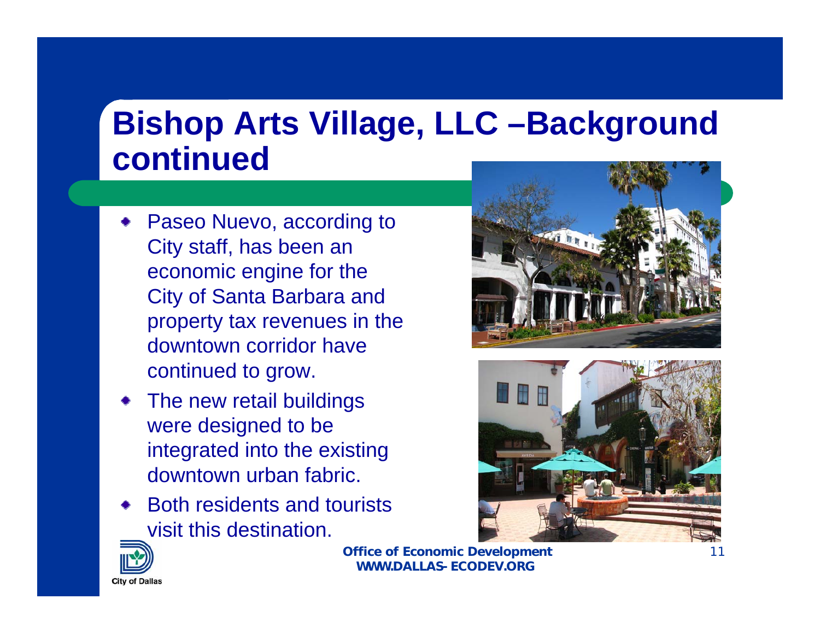### **Bishop Arts Village, LLC –Background continued**

- Paseo Nuevo, according to City staff, has been an economic engine for the City of Santa Barbara and property tax revenues in the downtown corridor have continued to grow.
- The new retail buildings were designed to be integrated into the existing downtown urban fabric.
- Both residents and tourists visit this destination.





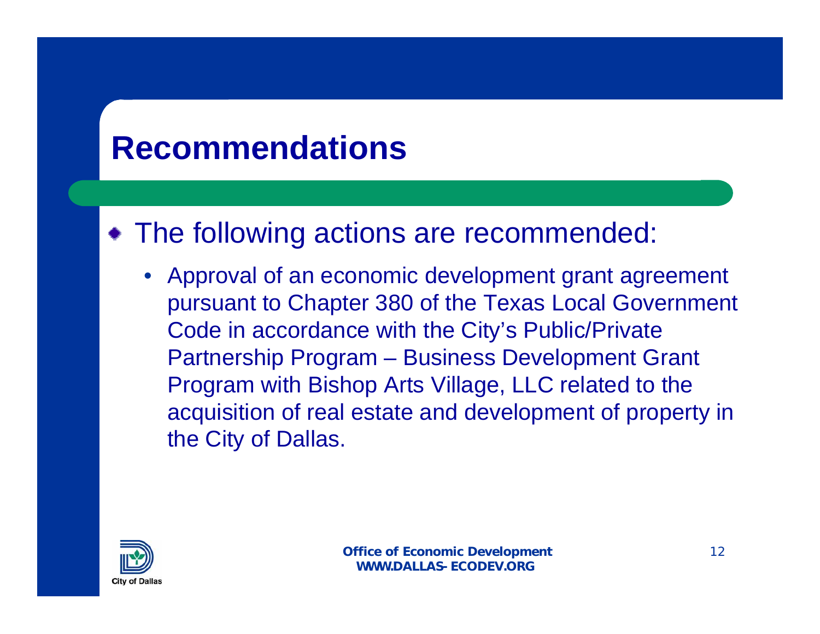#### **Recommendations**

#### • The following actions are recommended:

• Approval of an economic development grant agreement pursuant to Chapter 380 of the Texas Local Government Code in accordance with the City's Public/Private Partnership Program – Business Development Grant Program with Bishop Arts Village, LLC related to the acquisition of real estate and development of property in the City of Dallas.

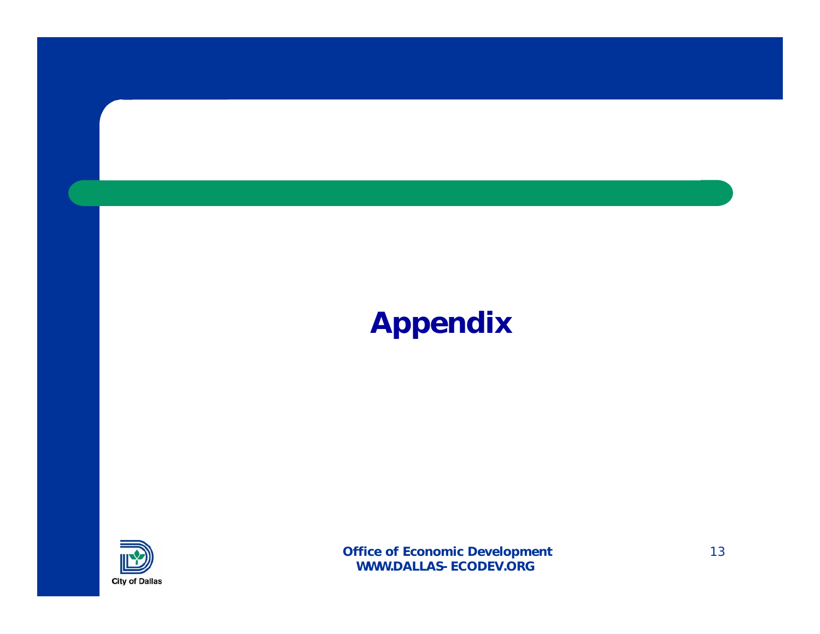#### **Appendix**

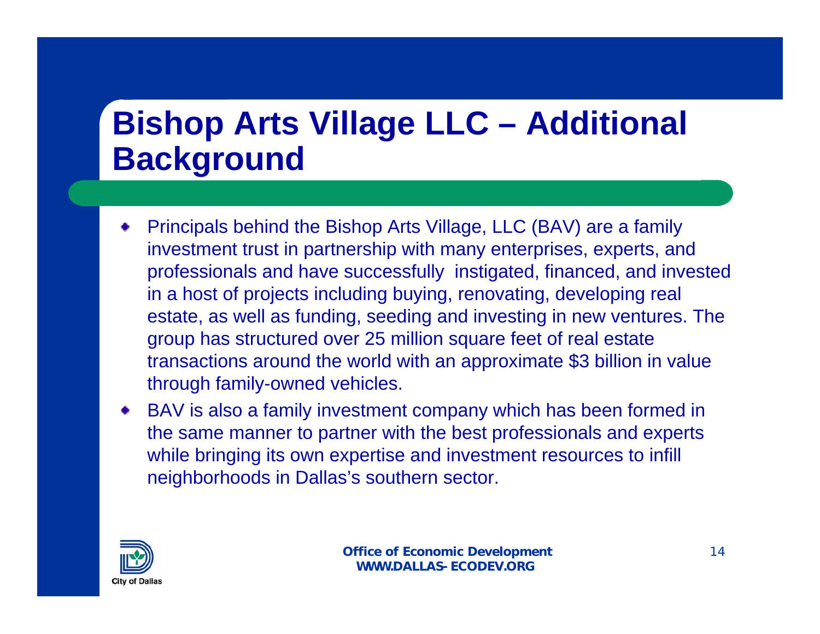### **Bishop Arts Village LLC – Additional Background**

- Principals behind the Bishop Arts Village, LLC (BAV) are a family investment trust in partnership with many enterprises, experts, and professionals and have successfully instigated, financed, and invested in a host of projects including buying, renovating, developing real estate, as well as funding, seeding and investing in new ventures. The group has structured over 25 million square feet of real estate transactions around the world with an approximate \$3 billion in value through family-owned vehicles.
- BAV is also a family investment company which has been formed in the same manner to partner with the best professionals and experts while bringing its own expertise and investment resources to infill neighborhoods in Dallas's southern sector.